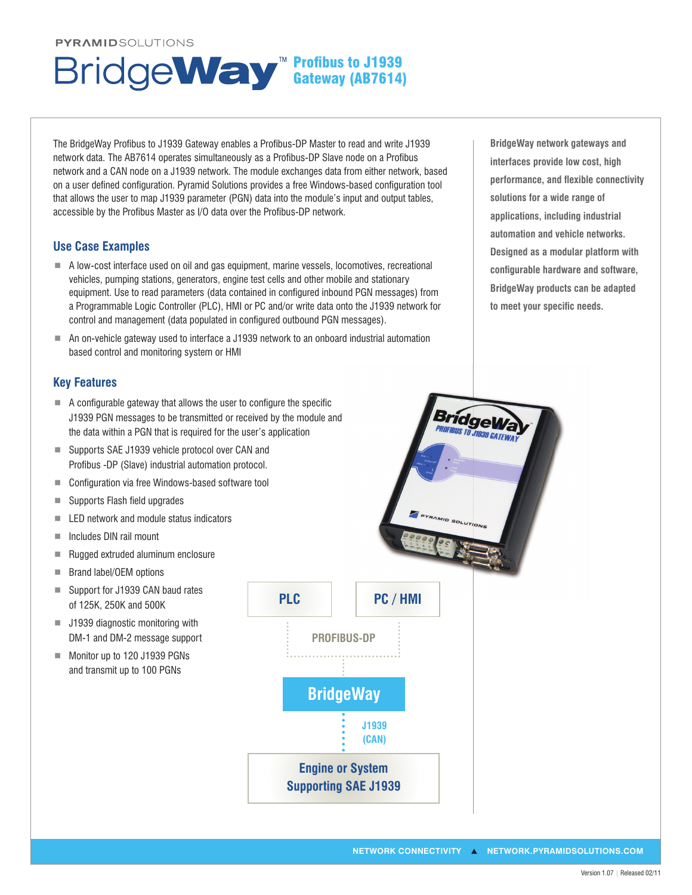#### **PYRAMIDSOLUTIONS**

#### The BridgeWay Profibus to J1939 Gateway enables a Profibus-DP Master to read and write J1939 network data. The AB7614 operates simultaneously as a Profibus-DP Slave node on a Profibus network and a CAN node on a J1939 network. The module exchanges data from either network, based on a user defined configuration. Pyramid Solutions provides a free Windows-based configuration tool that allows the user to map J1939 parameter (PGN) data into the module's input and output tables, accessible by the Profibus Master as I/O data over the Profibus-DP network.

**Profibus to J1939** Gateway (AB7614)

## **Use Case Examples**

- A low-cost interface used on oil and gas equipment, marine vessels, locomotives, recreational vehicles, pumping stations, generators, engine test cells and other mobile and stationary equipment. Use to read parameters (data contained in configured inbound PGN messages) from a Programmable Logic Controller (PLC), HMI or PC and/or write data onto the J1939 network for control and management (data populated in configured outbound PGN messages).
- An on-vehicle gateway used to interface a J1939 network to an onboard industrial automation based control and monitoring system or HMI

### **Key Features**

- $\blacksquare$  A configurable gateway that allows the user to configure the specific J1939 PGN messages to be transmitted or received by the module and the data within a PGN that is required for the user's application
- Supports SAE J1939 vehicle protocol over CAN and Profibus -DP (Slave) industrial automation protocol.
- Configuration via free Windows-based software tool
- $\blacksquare$  Supports Flash field upgrades
- $\blacksquare$  LED network and module status indicators
- Includes DIN rail mount
- Rugged extruded aluminum enclosure
- Brand label/OEM options
- Support for J1939 CAN baud rates of 125K, 250K and 500K
- J1939 diagnostic monitoring with DM-1 and DM-2 message support
- Monitor up to 120 J1939 PGNs and transmit up to 100 PGNs



**BridgeWay network gateways and interfaces provide low cost, high**  performance, and flexible connectivity **solutions for a wide range of applications, including industrial automation and vehicle networks. Designed as a modular platform with**  configurable hardware and software, **BridgeWay products can be adapted**  to meet your specific needs.

**Bridgev**